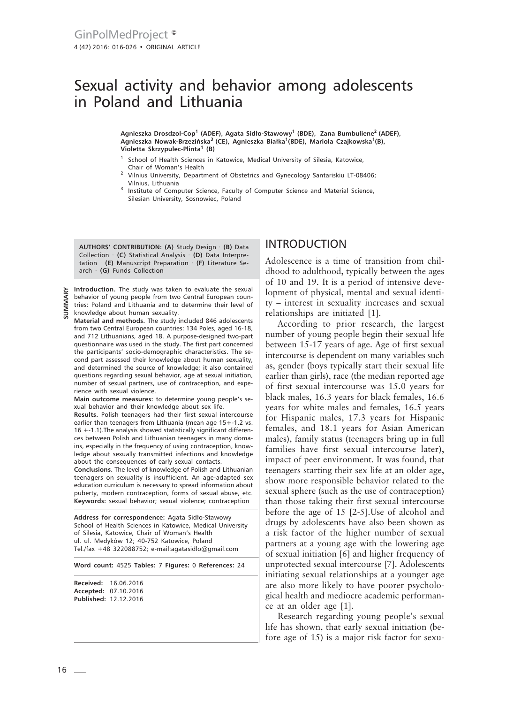# Sexual activity and behavior among adolescents in Poland and Lithuania

**Agnieszka Drosdzol-Cop<sup>1</sup> (ADEF), Agata Sidło-Stawowy<sup>1</sup> (BDE), Zana Bumbuliene2 (ADEF), Agnieszka Nowak-Brzezińska3 (CE), Agnieszka Białka1 (BDE), Mariola Czajkowska<sup>1</sup> (B), Violetta Skrzypulec-Plinta<sup>1</sup> (B)**

- $1$  School of Health Sciences in Katowice, Medical University of Silesia, Katowice, Chair of Woman's Health
- <sup>2</sup> Vilnius University, Department of Obstetrics and Gynecology Santariskiu LT-08406; Vilnius, Lithuania
- <sup>3</sup> Institute of Computer Science, Faculty of Computer Science and Material Science, Silesian University, Sosnowiec, Poland

**AUTHORS' CONTRIBUTION: (A)** Study Design · **(B)** Data Collection · **(C)** Statistical Analysis · **(D)** Data Interpretation · **(E)** Manuscript Preparation · **(F)** Literature Search · **(G)** Funds Collection

**Introduction.** The study was taken to evaluate the sexual behavior of young people from two Central European countries: Poland and Lithuania and to determine their level of knowledge about human sexuality.

**Material and methods.** The study included 846 adolescents from two Central European countries: 134 Poles, aged 16-18, and 712 Lithuanians, aged 18. A purpose-designed two-part questionnaire was used in the study. The first part concerned the participants' socio-demographic characteristics. The second part assessed their knowledge about human sexuality, and determined the source of knowledge; it also contained questions regarding sexual behavior, age at sexual initiation, number of sexual partners, use of contraception, and experience with sexual violence.

**Main outcome measures:** to determine young people's sexual behavior and their knowledge about sex life.

**Results.** Polish teenagers had their first sexual intercourse earlier than teenagers from Lithuania (mean age 15+-1.2 vs. 16 +-1.1).The analysis showed statistically significant differences between Polish and Lithuanian teenagers in many domains, especially in the frequency of using contraception, knowledge about sexually transmitted infections and knowledge about the consequences of early sexual contacts.

**Conclusions.** The level of knowledge of Polish and Lithuanian teenagers on sexuality is insufficient. An age-adapted sex education curriculum is necessary to spread information about puberty, modern contraception, forms of sexual abuse, etc. **Keywords:** sexual behavior; sexual violence; contraception

**Address for correspondence:** Agata Sidło-Stawowy School of Health Sciences in Katowice, Medical University of Silesia, Katowice, Chair of Woman's Health ul. ul. Medyków 12; 40-752 Katowice, Poland Tel./fax +48 322088752; e-mail:agatasidlo@gmail.com

**Word count:** 4525 **Tables:** 7 **Figures:** 0 **References:** 24

**Received:** 16.06.2016 **Accepted:** 07.10.2016 **Published:** 12.12.2016

### INTRODUCTION

Adolescence is a time of transition from childhood to adulthood, typically between the ages of 10 and 19. It is a period of intensive development of physical, mental and sexual identity – interest in sexuality increases and sexual relationships are initiated [1].

According to prior research, the largest number of young people begin their sexual life between 15-17 years of age. Age of first sexual intercourse is dependent on many variables such as, gender (boys typically start their sexual life earlier than girls), race (the median reported age of first sexual intercourse was 15.0 years for black males, 16.3 years for black females, 16.6 years for white males and females, 16.5 years for Hispanic males, 17.3 years for Hispanic females, and 18.1 years for Asian American males), family status (teenagers bring up in full families have first sexual intercourse later), impact of peer environment. It was found, that teenagers starting their sex life at an older age, show more responsible behavior related to the sexual sphere (such as the use of contraception) than those taking their first sexual intercourse before the age of 15 [2-5].Use of alcohol and drugs by adolescents have also been shown as a risk factor of the higher number of sexual partners at a young age with the lowering age of sexual initiation [6] and higher frequency of unprotected sexual intercourse [7]. Adolescents initiating sexual relationships at a younger age are also more likely to have poorer psychological health and mediocre academic performance at an older age [1].

Research regarding young people's sexual life has shown, that early sexual initiation (before age of 15) is a major risk factor for sexu-

**SUMMARY**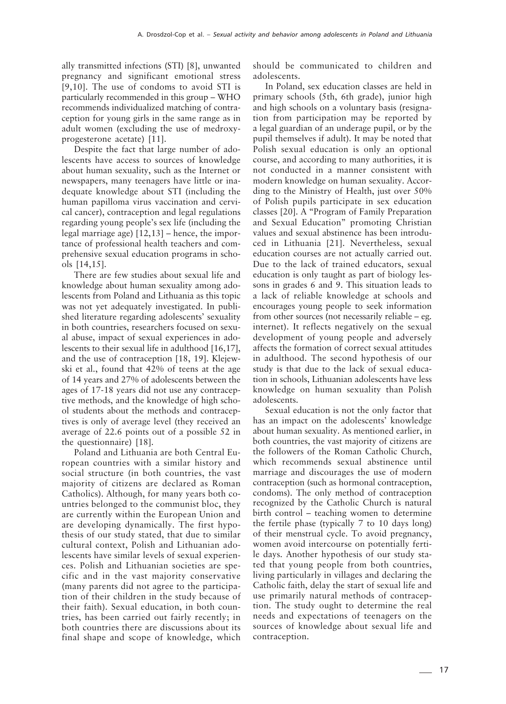ally transmitted infections (STI) [8], unwanted pregnancy and significant emotional stress [9,10]. The use of condoms to avoid STI is particularly recommended in this group – WHO recommends individualized matching of contraception for young girls in the same range as in adult women (excluding the use of medroxyprogesterone acetate) [11].

Despite the fact that large number of adolescents have access to sources of knowledge about human sexuality, such as the Internet or newspapers, many teenagers have little or inadequate knowledge about STI (including the human papilloma virus vaccination and cervical cancer), contraception and legal regulations regarding young people's sex life (including the legal marriage age) [12,13] – hence, the importance of professional health teachers and comprehensive sexual education programs in schools [14,15].

There are few studies about sexual life and knowledge about human sexuality among adolescents from Poland and Lithuania as this topic was not yet adequately investigated. In published literature regarding adolescents' sexuality in both countries, researchers focused on sexual abuse, impact of sexual experiences in adolescents to their sexual life in adulthood [16,17], and the use of contraception [18, 19]. Klejewski et al., found that 42% of teens at the age of 14 years and 27% of adolescents between the ages of 17-18 years did not use any contraceptive methods, and the knowledge of high school students about the methods and contraceptives is only of average level (they received an average of 22.6 points out of a possible 52 in the questionnaire) [18].

Poland and Lithuania are both Central European countries with a similar history and social structure (in both countries, the vast majority of citizens are declared as Roman Catholics). Although, for many years both countries belonged to the communist bloc, they are currently within the European Union and are developing dynamically. The first hypothesis of our study stated, that due to similar cultural context, Polish and Lithuanian adolescents have similar levels of sexual experiences. Polish and Lithuanian societies are specific and in the vast majority conservative (many parents did not agree to the participation of their children in the study because of their faith). Sexual education, in both countries, has been carried out fairly recently; in both countries there are discussions about its final shape and scope of knowledge, which should be communicated to children and adolescents.

In Poland, sex education classes are held in primary schools (5th, 6th grade), junior high and high schools on a voluntary basis (resignation from participation may be reported by a legal guardian of an underage pupil, or by the pupil themselves if adult). It may be noted that Polish sexual education is only an optional course, and according to many authorities, it is not conducted in a manner consistent with modern knowledge on human sexuality. According to the Ministry of Health, just over 50% of Polish pupils participate in sex education classes [20]. A "Program of Family Preparation and Sexual Education" promoting Christian values and sexual abstinence has been introduced in Lithuania [21]. Nevertheless, sexual education courses are not actually carried out. Due to the lack of trained educators, sexual education is only taught as part of biology lessons in grades 6 and 9. This situation leads to a lack of reliable knowledge at schools and encourages young people to seek information from other sources (not necessarily reliable – eg. internet). It reflects negatively on the sexual development of young people and adversely affects the formation of correct sexual attitudes in adulthood. The second hypothesis of our study is that due to the lack of sexual education in schools, Lithuanian adolescents have less knowledge on human sexuality than Polish adolescents.

Sexual education is not the only factor that has an impact on the adolescents' knowledge about human sexuality. As mentioned earlier, in both countries, the vast majority of citizens are the followers of the Roman Catholic Church, which recommends sexual abstinence until marriage and discourages the use of modern contraception (such as hormonal contraception, condoms). The only method of contraception recognized by the Catholic Church is natural birth control – teaching women to determine the fertile phase (typically 7 to 10 days long) of their menstrual cycle. To avoid pregnancy, women avoid intercourse on potentially fertile days. Another hypothesis of our study stated that young people from both countries, living particularly in villages and declaring the Catholic faith, delay the start of sexual life and use primarily natural methods of contraception. The study ought to determine the real needs and expectations of teenagers on the sources of knowledge about sexual life and contraception.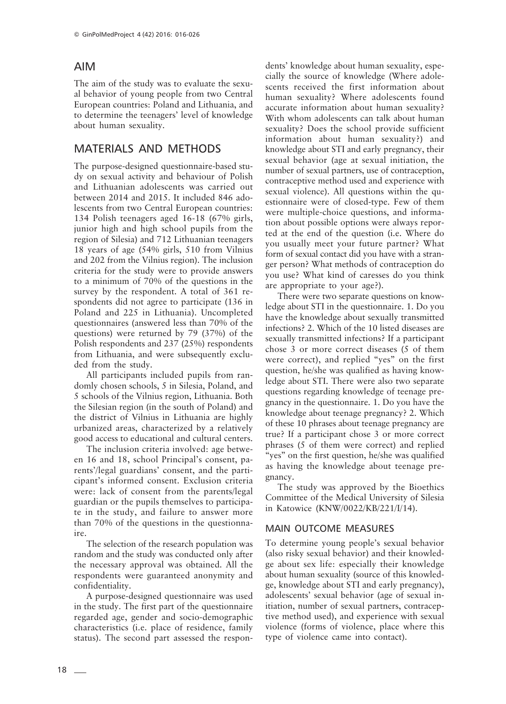## AIM

The aim of the study was to evaluate the sexual behavior of young people from two Central European countries: Poland and Lithuania, and to determine the teenagers' level of knowledge about human sexuality.

# MATERIALS AND METHODS

The purpose-designed questionnaire-based study on sexual activity and behaviour of Polish and Lithuanian adolescents was carried out between 2014 and 2015. It included 846 adolescents from two Central European countries: 134 Polish teenagers aged 16-18 (67% girls, junior high and high school pupils from the region of Silesia) and 712 Lithuanian teenagers 18 years of age (54% girls, 510 from Vilnius and 202 from the Vilnius region). The inclusion criteria for the study were to provide answers to a minimum of 70% of the questions in the survey by the respondent. A total of 361 respondents did not agree to participate (136 in Poland and 225 in Lithuania). Uncompleted questionnaires (answered less than 70% of the questions) were returned by 79 (37%) of the Polish respondents and 237 (25%) respondents from Lithuania, and were subsequently excluded from the study.

All participants included pupils from randomly chosen schools, 5 in Silesia, Poland, and 5 schools of the Vilnius region, Lithuania. Both the Silesian region (in the south of Poland) and the district of Vilnius in Lithuania are highly urbanized areas, characterized by a relatively good access to educational and cultural centers.

The inclusion criteria involved: age between 16 and 18, school Principal's consent, parents'/legal guardians' consent, and the participant's informed consent. Exclusion criteria were: lack of consent from the parents/legal guardian or the pupils themselves to participate in the study, and failure to answer more than 70% of the questions in the questionnaire.

The selection of the research population was random and the study was conducted only after the necessary approval was obtained. All the respondents were guaranteed anonymity and confidentiality.

A purpose-designed questionnaire was used in the study. The first part of the questionnaire regarded age, gender and socio-demographic characteristics (i.e. place of residence, family status). The second part assessed the respondents' knowledge about human sexuality, especially the source of knowledge (Where adolescents received the first information about human sexuality? Where adolescents found accurate information about human sexuality? With whom adolescents can talk about human sexuality? Does the school provide sufficient information about human sexuality?) and knowledge about STI and early pregnancy, their sexual behavior (age at sexual initiation, the number of sexual partners, use of contraception, contraceptive method used and experience with sexual violence). All questions within the questionnaire were of closed-type. Few of them were multiple-choice questions, and information about possible options were always reported at the end of the question (i.e. Where do you usually meet your future partner? What form of sexual contact did you have with a stranger person? What methods of contraception do you use? What kind of caresses do you think are appropriate to your age?).

There were two separate questions on knowledge about STI in the questionnaire. 1. Do you have the knowledge about sexually transmitted infections? 2. Which of the 10 listed diseases are sexually transmitted infections? If a participant chose 3 or more correct diseases (5 of them were correct), and replied "yes" on the first question, he/she was qualified as having knowledge about STI. There were also two separate questions regarding knowledge of teenage pregnancy in the questionnaire. 1. Do you have the knowledge about teenage pregnancy? 2. Which of these 10 phrases about teenage pregnancy are true? If a participant chose 3 or more correct phrases (5 of them were correct) and replied "yes" on the first question, he/she was qualified as having the knowledge about teenage pregnancy.

The study was approved by the Bioethics Committee of the Medical University of Silesia in Katowice (KNW/0022/KB/221/I/14).

### MAIN OUTCOME MEASURES

To determine young people's sexual behavior (also risky sexual behavior) and their knowledge about sex life: especially their knowledge about human sexuality (source of this knowledge, knowledge about STI and early pregnancy), adolescents' sexual behavior (age of sexual initiation, number of sexual partners, contraceptive method used), and experience with sexual violence (forms of violence, place where this type of violence came into contact).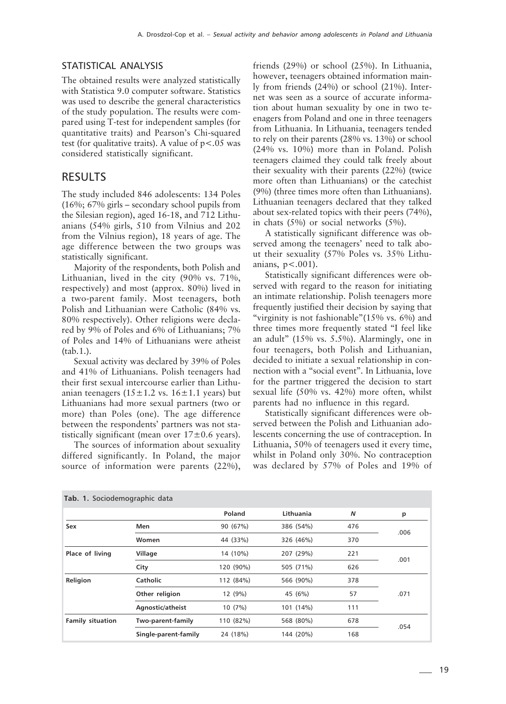#### STATISTICAL ANALYSIS

The obtained results were analyzed statistically with Statistica 9.0 computer software. Statistics was used to describe the general characteristics of the study population. The results were compared using T-test for independent samples (for quantitative traits) and Pearson's Chi-squared test (for qualitative traits). A value of  $p < .05$  was considered statistically significant.

### RESULTS

The study included 846 adolescents: 134 Poles (16%; 67% girls – secondary school pupils from the Silesian region), aged 16-18, and 712 Lithuanians (54% girls, 510 from Vilnius and 202 from the Vilnius region), 18 years of age. The age difference between the two groups was statistically significant.

Majority of the respondents, both Polish and Lithuanian, lived in the city (90% vs. 71%, respectively) and most (approx. 80%) lived in a two-parent family. Most teenagers, both Polish and Lithuanian were Catholic (84% vs. 80% respectively). Other religions were declared by 9% of Poles and 6% of Lithuanians; 7% of Poles and 14% of Lithuanians were atheist (tab.1.).

Sexual activity was declared by 39% of Poles and 41% of Lithuanians. Polish teenagers had their first sexual intercourse earlier than Lithuanian teenagers ( $15 \pm 1.2$  vs.  $16 \pm 1.1$  years) but Lithuanians had more sexual partners (two or more) than Poles (one). The age difference between the respondents' partners was not statistically significant (mean over  $17\pm0.6$  years).

The sources of information about sexuality differed significantly. In Poland, the major source of information were parents (22%),

friends (29%) or school (25%). In Lithuania, however, teenagers obtained information mainly from friends (24%) or school (21%). Internet was seen as a source of accurate information about human sexuality by one in two teenagers from Poland and one in three teenagers from Lithuania. In Lithuania, teenagers tended to rely on their parents (28% vs. 13%) or school (24% vs. 10%) more than in Poland. Polish teenagers claimed they could talk freely about their sexuality with their parents (22%) (twice more often than Lithuanians) or the catechist (9%) (three times more often than Lithuanians). Lithuanian teenagers declared that they talked about sex-related topics with their peers (74%), in chats (5%) or social networks (5%).

A statistically significant difference was observed among the teenagers' need to talk about their sexuality (57% Poles vs. 35% Lithuanians,  $p < .001$ ).

Statistically significant differences were observed with regard to the reason for initiating an intimate relationship. Polish teenagers more frequently justified their decision by saying that "virginity is not fashionable"(15% vs. 6%) and three times more frequently stated "I feel like an adult" (15% vs. 5.5%). Alarmingly, one in four teenagers, both Polish and Lithuanian, decided to initiate a sexual relationship in connection with a "social event". In Lithuania, love for the partner triggered the decision to start sexual life (50% vs. 42%) more often, whilst parents had no influence in this regard.

Statistically significant differences were observed between the Polish and Lithuanian adolescents concerning the use of contraception. In Lithuania, 50% of teenagers used it every time, whilst in Poland only 30%. No contraception was declared by 57% of Poles and 19% of

| Tab. 1. Sociodemographic data |                      |           |           |                           |      |  |  |  |  |  |
|-------------------------------|----------------------|-----------|-----------|---------------------------|------|--|--|--|--|--|
|                               |                      | Poland    | Lithuania | $\boldsymbol{\mathsf{N}}$ | p    |  |  |  |  |  |
| Sex                           | Men                  | 90 (67%)  | 386 (54%) | 476                       | .006 |  |  |  |  |  |
|                               | Women                | 44 (33%)  | 326 (46%) | 370                       |      |  |  |  |  |  |
| Place of living               | Village              | 14 (10%)  | 207 (29%) | 221                       | .001 |  |  |  |  |  |
|                               | City                 | 120 (90%) | 505 (71%) | 626                       |      |  |  |  |  |  |
| Religion                      | Catholic             | 112 (84%) | 566 (90%) | 378                       |      |  |  |  |  |  |
|                               | Other religion       | 12 (9%)   | 45 (6%)   | 57                        | .071 |  |  |  |  |  |
|                               | Agnostic/atheist     | 10(7%)    | 101 (14%) | 111                       |      |  |  |  |  |  |
| <b>Family situation</b>       | Two-parent-family    | 110 (82%) | 568 (80%) | 678                       | .054 |  |  |  |  |  |
|                               | Single-parent-family | 24 (18%)  | 144 (20%) | 168                       |      |  |  |  |  |  |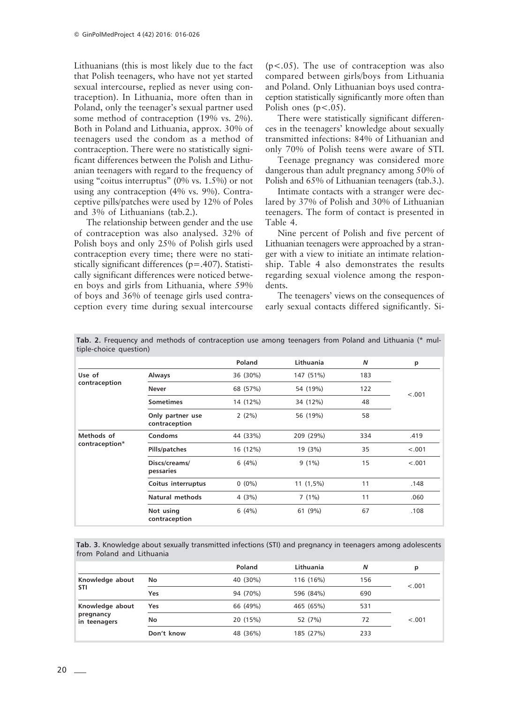Lithuanians (this is most likely due to the fact that Polish teenagers, who have not yet started sexual intercourse, replied as never using contraception). In Lithuania, more often than in Poland, only the teenager's sexual partner used some method of contraception (19% vs. 2%). Both in Poland and Lithuania, approx. 30% of teenagers used the condom as a method of contraception. There were no statistically significant differences between the Polish and Lithuanian teenagers with regard to the frequency of using "coitus interruptus" (0% vs. 1.5%) or not using any contraception (4% vs. 9%). Contraceptive pills/patches were used by 12% of Poles and 3% of Lithuanians (tab.2.).

The relationship between gender and the use of contraception was also analysed. 32% of Polish boys and only 25% of Polish girls used contraception every time; there were no statistically significant differences (p=.407). Statistically significant differences were noticed between boys and girls from Lithuania, where 59% of boys and 36% of teenage girls used contraception every time during sexual intercourse

 $(p<.05)$ . The use of contraception was also compared between girls/boys from Lithuania and Poland. Only Lithuanian boys used contraception statistically significantly more often than Polish ones  $(p<.05)$ .

There were statistically significant differences in the teenagers' knowledge about sexually transmitted infections: 84% of Lithuanian and only 70% of Polish teens were aware of STI.

Teenage pregnancy was considered more dangerous than adult pregnancy among 50% of Polish and 65% of Lithuanian teenagers (tab.3.).

Intimate contacts with a stranger were declared by 37% of Polish and 30% of Lithuanian teenagers. The form of contact is presented in Table 4.

Nine percent of Polish and five percent of Lithuanian teenagers were approached by a stranger with a view to initiate an intimate relationship. Table 4 also demonstrates the results regarding sexual violence among the respondents.

The teenagers' views on the consequences of early sexual contacts differed significantly. Si-

| $\frac{1}{2}$  |                                   |          |             |     |        |
|----------------|-----------------------------------|----------|-------------|-----|--------|
|                |                                   | Poland   | Lithuania   | N   | p      |
| Use of         | <b>Always</b>                     | 36 (30%) | 147 (51%)   | 183 |        |
| contraception  | <b>Never</b>                      | 68 (57%) | 54 (19%)    | 122 | < .001 |
|                | <b>Sometimes</b>                  | 14 (12%) | 34 (12%)    | 48  |        |
|                | Only partner use<br>contraception | $2(2\%)$ | 56 (19%)    | 58  |        |
| Methods of     | Condoms                           | 44 (33%) | 209 (29%)   | 334 | .419   |
| contraception* | Pills/patches                     | 16 (12%) | 19 (3%)     | 35  | < .001 |
|                | Discs/creams/<br>pessaries        | 6(4%)    | $9(1\%)$    | 15  | < .001 |
|                | Coitus interruptus                | $0(0\%)$ | $11(1,5\%)$ | 11  | .148   |
|                | Natural methods                   | 4(3%)    | 7(1%)       | 11  | .060   |
|                | Not using<br>contraception        | 6(4%)    | 61 (9%)     | 67  | .108   |

**Tab. 2.** Frequency and methods of contraception use among teenagers from Poland and Lithuania (\* multiple-choice question)

**Tab. 3.** Knowledge about sexually transmitted infections (STI) and pregnancy in teenagers among adolescents from Poland and Lithuania

|                           |            | Poland   | Lithuania | N   | p       |
|---------------------------|------------|----------|-----------|-----|---------|
| Knowledge about           | No         | 40 (30%) | 116 (16%) | 156 | $-.001$ |
| <b>STI</b>                | Yes        | 94 (70%) | 596 (84%) | 690 |         |
| Knowledge about           | Yes        | 66 (49%) | 465 (65%) | 531 |         |
| pregnancy<br>in teenagers | No         | 20 (15%) | 52 (7%)   | 72  | $-.001$ |
|                           | Don't know | 48 (36%) | 185 (27%) | 233 |         |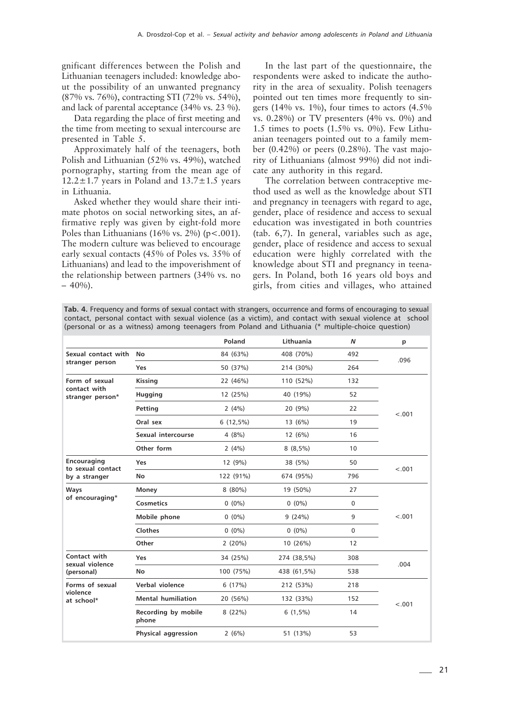gnificant differences between the Polish and Lithuanian teenagers included: knowledge about the possibility of an unwanted pregnancy (87% vs. 76%), contracting STI (72% vs. 54%), and lack of parental acceptance (34% vs. 23 %).

Data regarding the place of first meeting and the time from meeting to sexual intercourse are presented in Table 5.

Approximately half of the teenagers, both Polish and Lithuanian (52% vs. 49%), watched pornography, starting from the mean age of 12.2 $\pm$ 1.7 years in Poland and 13.7 $\pm$ 1.5 years in Lithuania.

Asked whether they would share their intimate photos on social networking sites, an affirmative reply was given by eight-fold more Poles than Lithuanians (16% vs. 2%) ( $p < .001$ ). The modern culture was believed to encourage early sexual contacts (45% of Poles vs. 35% of Lithuanians) and lead to the impoverishment of the relationship between partners (34% vs. no  $-40\%$ ).

In the last part of the questionnaire, the respondents were asked to indicate the authority in the area of sexuality. Polish teenagers pointed out ten times more frequently to singers (14% vs. 1%), four times to actors  $(4.5\%$ vs. 0.28%) or TV presenters (4% vs. 0%) and 1.5 times to poets (1.5% vs. 0%). Few Lithuanian teenagers pointed out to a family member (0.42%) or peers (0.28%). The vast majority of Lithuanians (almost 99%) did not indicate any authority in this regard.

The correlation between contraceptive method used as well as the knowledge about STI and pregnancy in teenagers with regard to age, gender, place of residence and access to sexual education was investigated in both countries (tab. 6,7). In general, variables such as age, gender, place of residence and access to sexual education were highly correlated with the knowledge about STI and pregnancy in teenagers. In Poland, both 16 years old boys and girls, from cities and villages, who attained

**Tab. 4.** Frequency and forms of sexual contact with strangers, occurrence and forms of encouraging to sexual contact, personal contact with sexual violence (as a victim), and contact with sexual violence at school (personal or as a witness) among teenagers from Poland and Lithuania (\* multiple-choice question)

|                                  |                              | Poland      | Lithuania      | $\boldsymbol{N}$ | p      |
|----------------------------------|------------------------------|-------------|----------------|------------------|--------|
| Sexual contact with              | No                           | 84 (63%)    | 408 (70%)      | 492              | .096   |
| stranger person                  | Yes                          | 50 (37%)    | 214 (30%)      | 264              |        |
| Form of sexual                   | <b>Kissing</b>               | 22 (46%)    | 110 (52%)      | 132              |        |
| contact with<br>stranger person* | Hugging                      | 12 (25%)    | 40 (19%)       | 52               |        |
|                                  | Petting                      | 2(4%)       | 20 (9%)        | 22               | < .001 |
|                                  | Oral sex                     | $6(12,5\%)$ | 13 (6%)        | 19               |        |
|                                  | Sexual intercourse           | 4(8%)       | 12 (6%)        | 16               |        |
|                                  | Other form                   | 2(4%)       | $8(8,5\%)$     | 10               |        |
| Encouraging<br>to sexual contact | Yes                          | 12 (9%)     | 38 (5%)        | 50               | < .001 |
| by a stranger                    | No                           | 122 (91%)   | 674 (95%)      | 796              |        |
| Ways                             | Money                        | $8(80\%)$   | 19 (50%)       | 27               |        |
| of encouraging*                  | <b>Cosmetics</b>             | $0(0\%)$    | $0(0\%)$       | $\mathbf 0$      |        |
|                                  | Mobile phone                 | $0(0\%)$    | 9(24%)         | 9                | < .001 |
|                                  | Clothes                      | $0(0\%)$    | $0(0\%)$       | $\Omega$         |        |
|                                  | Other                        | 2(20%)      | 10 (26%)       | 12               |        |
| Contact with<br>sexual violence  | Yes                          | 34 (25%)    | 274 (38,5%)    | 308              | .004   |
| (personal)                       | No                           | 100 (75%)   | 438 (61,5%)    | 538              |        |
| Forms of sexual                  | Verbal violence              | 6(17%)      | 212 (53%)      | 218              |        |
| violence<br>at school*           | <b>Mental humiliation</b>    | 20 (56%)    | 132 (33%)      | 152              | < .001 |
|                                  | Recording by mobile<br>phone | 8(22%)      | $6(1,5\%)$     | 14               |        |
|                                  | Physical aggression          | 2(6%)       | 53<br>51 (13%) |                  |        |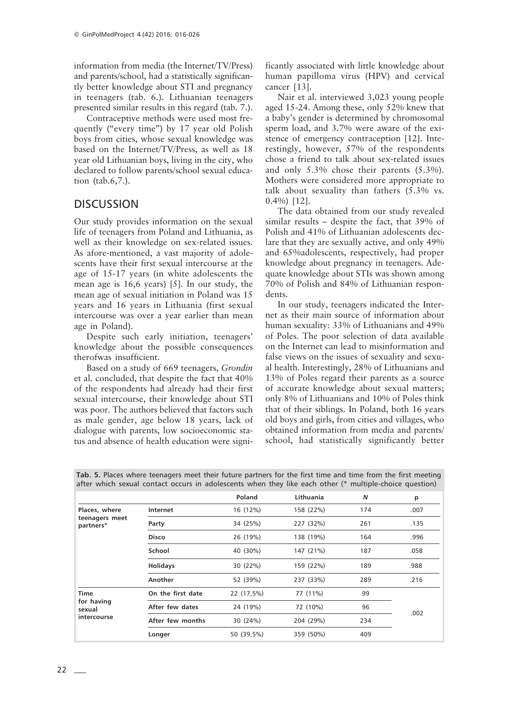information from media (the Internet/TV/Press) and parents/school, had a statistically significantly better knowledge about STI and pregnancy in teenagers (tab. 6.). Lithuanian teenagers presented similar results in this regard (tab. 7.).

Contraceptive methods were used most frequently ("every time") by 17 year old Polish boys from cities, whose sexual knowledge was based on the Internet/TV/Press, as well as 18 year old Lithuanian boys, living in the city, who declared to follow parents/school sexual education (tab.6,7.).

## **DISCUSSION**

Our study provides information on the sexual life of teenagers from Poland and Lithuania, as well as their knowledge on sex-related issues. As afore-mentioned, a vast majority of adolescents have their first sexual intercourse at the age of 15-17 years (in white adolescents the mean age is 16,6 years) [5]. In our study, the mean age of sexual initiation in Poland was 15 years and 16 years in Lithuania (first sexual intercourse was over a year earlier than mean age in Poland).

Despite such early initiation, teenagers' knowledge about the possible consequences therofwas insufficient.

Based on a study of 669 teenagers, *Grondin* et al. concluded, that despite the fact that 40% of the respondents had already had their first sexual intercourse, their knowledge about STI was poor. The authors believed that factors such as male gender, age below 18 years, lack of dialogue with parents, low socioeconomic status and absence of health education were significantly associated with little knowledge about human papilloma virus (HPV) and cervical cancer [13].

Nair et al. interviewed 3,023 young people aged 15-24. Among these, only 52% knew that a baby's gender is determined by chromosomal sperm load, and 3.7% were aware of the existence of emergency contraception [12]. Interestingly, however, 57% of the respondents chose a friend to talk about sex-related issues and only 5.3% chose their parents (5.3%). Mothers were considered more appropriate to talk about sexuality than fathers (5.3% vs. 0.4%) [12].

The data obtained from our study revealed similar results – despite the fact, that 39% of Polish and 41% of Lithuanian adolescents declare that they are sexually active, and only 49% and 65%adolescents, respectively, had proper knowledge about pregnancy in teenagers. Adequate knowledge about STIs was shown among 70% of Polish and 84% of Lithuanian respondents.

In our study, teenagers indicated the Internet as their main source of information about human sexuality: 33% of Lithuanians and 49% of Poles. The poor selection of data available on the Internet can lead to misinformation and false views on the issues of sexuality and sexual health. Interestingly, 28% of Lithuanians and 13% of Poles regard their parents as a source of accurate knowledge about sexual matters; only 8% of Lithuanians and 10% of Poles think that of their siblings. In Poland, both 16 years old boys and girls, from cities and villages, who obtained information from media and parents/ school, had statistically significantly better

|                             |                   | Poland     | Lithuania | N   | p    |
|-----------------------------|-------------------|------------|-----------|-----|------|
| Places, where               | Internet          | 16 (12%)   | 158 (22%) | 174 | .007 |
| teenagers meet<br>partners* | Party             | 34 (25%)   | 227 (32%) | 261 | .135 |
|                             | <b>Disco</b>      | 26 (19%)   | 138 (19%) | 164 | .996 |
|                             | School            | 40 (30%)   | 147 (21%) | 187 | .058 |
|                             | <b>Holidays</b>   | 30 (22%)   | 159 (22%) | 189 | .988 |
|                             | Another           | 52 (39%)   | 237 (33%) | 289 | .216 |
| <b>Time</b>                 | On the first date | 22 (17,5%) | 77 (11%)  | 99  |      |
| for having<br>sexual        | After few dates   | 24 (19%)   | 72 (10%)  | 96  | .002 |
| intercourse                 | After few months  | 30 (24%)   | 204 (29%) | 234 |      |
|                             | Longer            | 50 (39,5%) | 359 (50%) | 409 |      |

**Tab. 5.** Places where teenagers meet their future partners for the first time and time from the first meeting after which sexual contact occurs in adolescents when they like each other (\* multiple-choice question)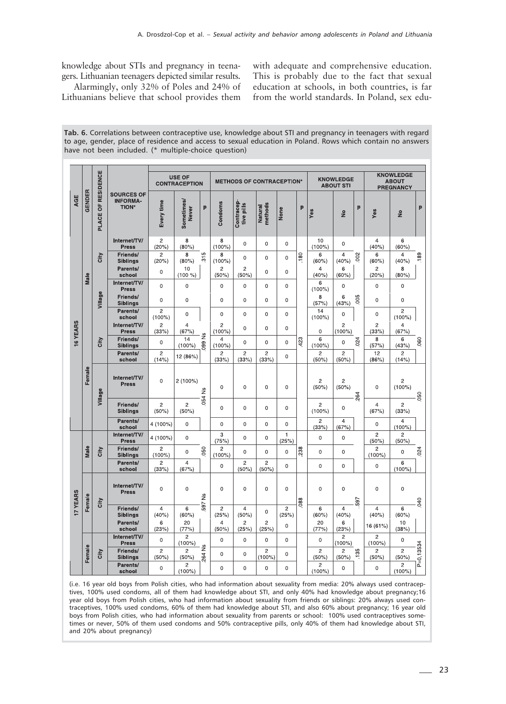knowledge about STIs and pregnancy in teenagers. Lithuanian teenagers depicted similar results.

Alarmingly, only 32% of Poles and 24% of Lithuanians believe that school provides them with adequate and comprehensive education. This is probably due to the fact that sexual education at schools, in both countries, is far from the world standards. In Poland, sex edu-

| Tab. 6. Correlations between contraceptive use, knowledge about STI and pregnancy in teenagers with regard |
|------------------------------------------------------------------------------------------------------------|
| to age, gender, place of residence and access to sexual education in Poland. Rows which contain no answers |
| have not been included. (* multiple-choice question)                                                       |

|          | OF RESIDENCE |         |                                                      | <b>USE OF</b><br><b>CONTRACEPTION</b> |                             |                           | <b>METHODS OF CONTRACEPTION*</b> |                          |                             |                            |                 | <b>KNOWLEDGE</b><br><b>ABOUT STI</b> |                              |                         | <b>KNOWLEDGE</b><br><b>ABOUT</b><br><b>PREGNANCY</b> |                              |           |
|----------|--------------|---------|------------------------------------------------------|---------------------------------------|-----------------------------|---------------------------|----------------------------------|--------------------------|-----------------------------|----------------------------|-----------------|--------------------------------------|------------------------------|-------------------------|------------------------------------------------------|------------------------------|-----------|
| AGE      | GENDER       | PLACE   | <b>SOURCES OF</b><br><b>INFORMA-</b><br><b>TION*</b> | Every time                            | Sometimes/<br><b>Never</b>  | p                         | Condoms                          | Contracep-<br>tive pills | Natural<br>methods          | None                       | p               | Yes                                  | $\frac{1}{2}$                | p                       | Yes                                                  | $\frac{6}{5}$                | p         |
|          |              |         | Internet/TV/<br><b>Press</b>                         | $\overline{c}$<br>8<br>(20%)<br>(80%) |                             | 8<br>$(100\%)$            | $\mathbf 0$                      | $\mathbf 0$              | $\mathbf 0$                 |                            | 10<br>$(100\%)$ | 0                                    |                              | $\overline{4}$<br>(40%) | 6<br>(60%)                                           |                              |           |
|          |              | City    | Friends/<br>Siblings<br>Parents/                     | 2<br>(20%)<br>0                       | 8<br>(80%)<br>10            | ιΩ<br>$\overline{\Omega}$ | 8<br>$(100\%)$<br>$\overline{c}$ | 0<br>$\overline{c}$      | 0<br>0                      | $\mathbf 0$<br>$\mathbf 0$ | 180             | 6<br>(60%)<br>4                      | $\overline{4}$<br>(40%)<br>6 | 002                     | 6<br>(60%)<br>2                                      | $\overline{4}$<br>(40%)<br>8 | 189       |
|          | Male         |         | school<br>Internet/TV/                               | 0                                     | (100 %<br>$\mathbf 0$       |                           | (50%)<br>$\mathbf 0$             | (50%)<br>$\mathbf 0$     | 0                           | $\mathbf 0$                |                 | (40%<br>6                            | (60%)<br>0                   |                         | (20%)<br>$\mathbf 0$                                 | (80%)<br>$\mathbf 0$         |           |
|          |              | Village | <b>Press</b><br>Friends/                             | 0                                     | $\mathbf 0$                 |                           | $\mathbf 0$                      | $\mathbf 0$              | 0                           | $\mathbf 0$                |                 | $(100\%)$<br>8                       | 6<br>(43%)                   | 005                     | 0                                                    | 0                            |           |
|          |              |         | <b>Siblings</b><br>Parents/<br>school                | $\overline{c}$<br>$(100\%)$           | $\mathbf 0$                 |                           | $\mathbf 0$                      | $\mathbf 0$              | $\mathbf 0$                 | $\Omega$                   |                 | (57%)<br>14<br>$(100\%)$             | 0                            |                         | 0                                                    | $\overline{c}$<br>$(100\%)$  |           |
|          |              |         | Internet/TV/<br><b>Press</b>                         | $\overline{c}$<br>(33%)               | $\overline{4}$<br>(67%)     |                           | $\overline{2}$<br>$(100\%)$      | 0                        | 0                           | $\Omega$                   |                 | $\mathbf 0$                          | $\overline{c}$<br>$(100\%)$  |                         | $\overline{c}$<br>(33%)                              | $\overline{4}$<br>(67%)      |           |
| 16 YEARS |              | City    | Friends/<br><b>Siblings</b>                          | 0                                     | 14<br>$(100\%)$             | ž<br>099                  | $\overline{4}$<br>$(100\%)$      | 0                        | 0                           | 0                          | 423             | 6<br>$(100\%)$                       | 0                            | 024                     | 8<br>(57%)                                           | 6<br>(43%)                   | 060       |
|          |              |         | Parents/<br>school                                   | $\overline{c}$<br>(14%)               | 12 (86%)                    |                           | $\overline{c}$<br>(33%)          | $\overline{c}$<br>(33%)  | $\overline{c}$<br>(33%)     | 0                          |                 | $\overline{c}$<br>(50%               | $\overline{c}$<br>(50%)      |                         | 12<br>(86%)                                          | $\overline{c}$<br>(14%)      |           |
|          | Female       | Village | Internet/TV/<br><b>Press</b>                         | 0                                     | $2(100\%)$                  | 054 Ns                    | $\Omega$                         | $\Omega$                 | $\Omega$                    | $\Omega$                   |                 | $\overline{c}$<br>(50%               | $\overline{c}$<br>(50%)      | 264                     | 0                                                    | $\overline{c}$<br>$(100\%)$  | 050       |
|          |              |         | Friends/<br>Siblings                                 | $\overline{c}$<br>(50%)               | $\overline{c}$<br>(50%)     |                           | $\mathbf 0$                      | $\mathbf 0$              | $\mathbf 0$                 | $\Omega$                   |                 | $\overline{2}$<br>$(100\%)$          | 0                            |                         | 4<br>(67%)                                           | 2<br>(33%)                   |           |
|          |              |         | Parents/<br>school                                   | 4 (100%)                              | $\mathbf 0$                 |                           | $\mathbf 0$                      | $\mathbf 0$              | 0                           | $\mathbf 0$                |                 | $\overline{2}$<br>(33%)              | 4<br>(67%)                   |                         | 0                                                    | $\overline{4}$<br>$(100\%)$  |           |
|          |              |         | Internet/TV/<br><b>Press</b>                         | 4 (100%)                              | $\mathbf 0$                 |                           | 3<br>(75%)                       | 0                        | 0                           | 1<br>(25%)                 |                 | $\mathbf 0$                          | 0                            |                         | 2<br>(50%)                                           | $\overline{2}$<br>$(50\%)$   |           |
|          | Male         | City    | Friends/<br><b>Siblings</b>                          | $\overline{c}$<br>$(100\%)$           | 0                           | 050                       | $\overline{c}$<br>$(100\%)$      | $\mathbf 0$              | 0                           | $\mathbf 0$                | 238             | $\mathbf 0$                          | 0                            |                         | $\overline{c}$<br>$(100\%)$                          | 0                            | 024       |
|          |              |         | Parents/<br>school                                   | $\overline{c}$<br>(33%)               | 4<br>(67%                   |                           | $\mathbf 0$                      | $\overline{c}$<br>(50%)  | $\overline{c}$<br>(50%)     | $\mathsf 0$                |                 | $\mathbf 0$                          | 0                            |                         | 0                                                    | 6<br>$(100\%)$               |           |
| 17 YEARS | Female       | City    | Internet/TV/<br><b>Press</b>                         | 0                                     | $\mathbf 0$                 | 597 Ns                    | $\mathbf 0$                      | $\mathbf 0$              | $\mathbf 0$                 | $\mathbf 0$                | 088             | $\mathbf 0$                          | $\mathbf 0$                  | 597                     | 0                                                    | $\mathbf 0$                  | 040       |
|          |              |         | Friends/<br>Siblings                                 | 4<br>(40%)                            | $6\phantom{1}$<br>(60%)     |                           | $\overline{2}$<br>(25%)          | $\overline{4}$<br>(50%)  | $\bf 0$                     | $\overline{c}$<br>(25%)    |                 | 6<br>(60%                            | 4<br>(40%)                   |                         | 4<br>(40%)                                           | 6<br>(60%)                   |           |
|          |              |         | Parents/<br>school                                   | 6<br>(23%)                            | 20<br>(77%)                 |                           | $\overline{4}$<br>(50%)          | $\overline{2}$<br>(25%)  | $\overline{c}$<br>(25%)     | $\mathbf 0$                |                 | 20<br>(77%)                          | 6<br>(23%)                   |                         | 16 (61%)                                             | 10<br>(38%)                  |           |
|          |              |         | Internet/TV/<br>Press                                | 0                                     | $\overline{c}$<br>$(100\%)$ |                           | $\mathbf 0$                      | $\mathbf 0$              | $\mathbf 0$                 | $\mathbf 0$                |                 | $\mathbf 0$                          | 2<br>$(100\%)$               |                         | 2<br>$(100\%)$                                       | 0                            |           |
|          | Female       | City    | Friends/<br>Siblings                                 | $\overline{c}$<br>(50%)               | $\overline{2}$<br>(50%)     | $\frac{6}{5}$<br>264      | $\mathbf 0$                      | $\mathbf 0$              | $\overline{c}$<br>$(100\%)$ | $\mathbf 0$                |                 | $\overline{c}$<br>(50%               | $\overline{c}$<br>(50%)      | <b>135</b>              | $\overline{c}$<br>(50%)                              | $\overline{c}$<br>(50%)      | P=0,13534 |
|          |              |         | Parents/<br>school                                   | 0                                     | $\overline{c}$<br>(100%     |                           | $\mathbf 0$                      | 0                        | $\mathbf 0$                 | $\mathbf 0$                |                 | $\overline{c}$<br>$(100\%)$          | 0                            |                         | 0                                                    | $\overline{c}$<br>(100%      |           |

(i.e. 16 year old boys from Polish cities, who had information about sexuality from media: 20% always used contraceptives, 100% used condoms, all of them had knowledge about STI, and only 40% had knowledge about pregnancy;16 year old boys from Polish cities, who had information about sexuality from friends or siblings: 20% always used contraceptives, 100% used condoms, 60% of them had knowledge about STI, and also 60% about pregnancy; 16 year old boys from Polish cities, who had information about sexuality from parents or school: 100% used contraceptives sometimes or never, 50% of them used condoms and 50% contraceptive pills, only 40% of them had knowledge about STI, and 20% about pregnancy)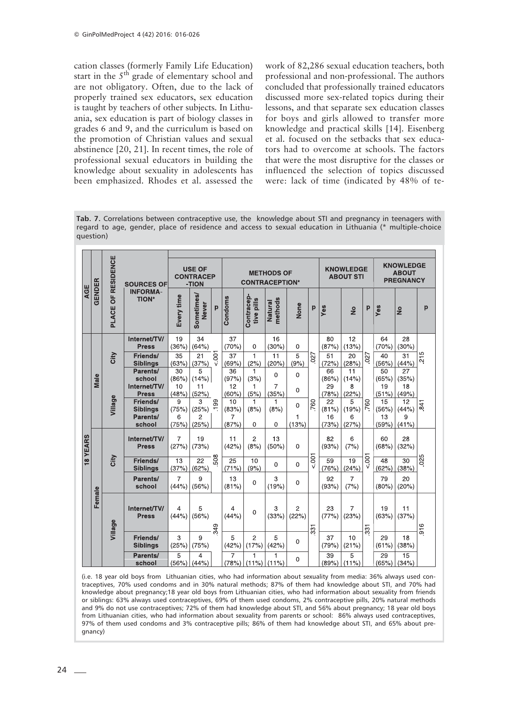cation classes (formerly Family Life Education) start in the  $5<sup>th</sup>$  grade of elementary school and are not obligatory. Often, due to the lack of properly trained sex educators, sex education is taught by teachers of other subjects. In Lithuania, sex education is part of biology classes in grades 6 and 9, and the curriculum is based on the promotion of Christian values and sexual abstinence [20, 21]. In recent times, the role of professional sexual educators in building the knowledge about sexuality in adolescents has been emphasized. Rhodes et al. assessed the

work of 82,286 sexual education teachers, both professional and non-professional. The authors concluded that professionally trained educators discussed more sex-related topics during their lessons, and that separate sex education classes for boys and girls allowed to transfer more knowledge and practical skills [14]. Eisenberg et al. focused on the setbacks that sex educators had to overcome at schools. The factors that were the most disruptive for the classes or influenced the selection of topics discussed were: lack of time (indicated by 48% of te-

**Tab. 7.** Correlations between contraceptive use, the knowledge about STI and pregnancy in teenagers with regard to age, gender, place of residence and access to sexual education in Lithuania (\* multiple-choice question)

|          |        | RESIDENCE       | <b>SOURCES OF</b><br><b>INFORMA-</b><br><b>TION*</b>                              | <b>USE OF</b><br><b>CONTRACEP</b><br>-TION        |                                                      |                                      | <b>METHODS OF</b><br><b>CONTRACEPTION*</b> |                                                  |                                                      |                                        |                         | <b>KNOWLEDGE</b><br><b>ABOUT STI</b>      |                                                   |                                    | <b>KNOWLEDGE</b><br><b>ABOUT</b><br><b>PREGNANCY</b> |                                            |                   |
|----------|--------|-----------------|-----------------------------------------------------------------------------------|---------------------------------------------------|------------------------------------------------------|--------------------------------------|--------------------------------------------|--------------------------------------------------|------------------------------------------------------|----------------------------------------|-------------------------|-------------------------------------------|---------------------------------------------------|------------------------------------|------------------------------------------------------|--------------------------------------------|-------------------|
| AGE      | GENDER | 능<br>O<br>PLACE |                                                                                   | Every time                                        | Sometimes/<br><b>Never</b>                           | p                                    | Condoms                                    | Contracep-<br>tive pills                         | nethods<br>Natural                                   | None                                   | p                       | Yes                                       | $\frac{6}{2}$                                     | p                                  | Yes                                                  | $\frac{6}{5}$                              | p                 |
|          | Male   | City            | Internet/TV/<br><b>Press</b><br>Friends/<br><b>Siblings</b><br>Parents/<br>school | 19<br>(36%)<br>35<br>(63%)<br>30<br>(86%)         | 34<br>(64%)<br>21<br>(37%)<br>5<br>(14% )            | $\overline{5}$                       | 37<br>(70%)<br>37<br>(69%)<br>36<br>(97%)  | $\mathbf 0$<br>1<br>(2%)<br>$\mathbf{1}$<br>(3%) | 16<br>(30%)<br>11<br>(20%)<br>$\Omega$               | $\mathbf 0$<br>5<br>(9%)<br>$\Omega$   | $\frac{1}{20}$          | 80<br>(87%)<br>51<br>(72%)<br>66<br>(86%) | 12<br>(13%)<br>20<br>(28%)<br>11<br>(14%)         | 027                                | 64<br>(70%)<br>40<br>(56%)<br>50<br>(65%)            | 28<br>(30%)<br>31<br>(44% )<br>27<br>(35%) | 215               |
|          |        | Village         | Internet/TV/<br><b>Press</b><br>Friends/<br><b>Siblings</b><br>Parents/<br>school | 10<br>(48%)<br>9<br>(75%)<br>6<br>(75%)           | 11<br>(52%)<br>3<br>(25%)<br>$\overline{c}$<br>(25%) | 99<br>÷.                             | 12<br>(60%)<br>10<br>(83%)<br>7<br>(87%)   | 1<br>(5%)<br>1<br>(8%)<br>$\Omega$               | $\overline{7}$<br>(35%)<br>1<br>(8%)<br>0            | $\Omega$<br>$\Omega$<br>1<br>(13%)     | 760                     | 29<br>(78%)<br>22<br>(81%)<br>16<br>(73%) | 8<br>(22%)<br>5<br>(19%)<br>6<br>(27%)            | 760                                | 19<br>(51%)<br>15<br>(56%)<br>13<br>(59%)            | 18<br>(49%)<br>12<br>(44% )<br>9<br>(41%)  | 841               |
| 18 YEARS |        | City            | Internet/TV/<br><b>Press</b><br>Friends/<br><b>Siblings</b>                       | $\overline{7}$<br>(27%)<br>13<br>(37%)            | 19<br>(73%)<br>22<br>(62%)                           | 508                                  | 11<br>(42%)<br>25<br>(71%)                 | $\overline{2}$<br>(8%)<br>10<br>(9%)             | 13<br>(50%)<br>$\mathbf 0$                           | $\Omega$<br>$\Omega$                   | 5001                    | 82<br>(93%)<br>59<br>(76%)                | 6<br>(7%)<br>19<br>(24%)                          | 5001                               | 60<br>(68%)<br>48<br>(62%)                           | 28<br>(32%)<br>30<br>(38%)                 | 025               |
|          | Female | Village         | Parents/<br>school<br>Internet/TV/<br><b>Press</b>                                | $\overline{7}$<br>(44% )<br>4<br>(44%)            | 9<br>(56%)<br>5<br>(56%)                             | 349                                  | 13<br>(81%)<br>4<br>(44%)                  | $\mathbf 0$<br>$\Omega$                          | 3<br>(19%)<br>3<br>(33%)                             | $\mathbf 0$<br>$\overline{2}$<br>(22%) |                         | 92<br>(93%)<br>23<br>(77%)                | $\overline{7}$<br>(7%)<br>$\overline{7}$<br>(23%) | 331                                | 79<br>(80%)<br>19<br>(63%)                           | 20<br>(20%)<br>11<br>(37%)                 | 916               |
|          |        |                 |                                                                                   | Friends/<br><b>Siblings</b><br>Parents/<br>school | 3<br>(25%)<br>5                                      | 9<br>(75%)<br>4<br>$(56\%)$ $(44\%)$ |                                            | 5<br>(42%)<br>7                                  | $\overline{2}$<br>(17%)<br>1<br>$(78\%)$ (11%) (11%) | 5<br>(42%)<br>1                        | $\Omega$<br>$\mathbf 0$ | 331                                       | 37<br>(79%)<br>39                                 | 10<br>(21%)<br>5<br>$(89\%)$ (11%) |                                                      | 29<br>(61%)<br>29<br>$(65%)$ (34%)         | 18<br>(38%)<br>15 |

(i.e. 18 year old boys from Lithuanian cities, who had information about sexuality from media: 36% always used contraceptives, 70% used condoms and in 30% natural methods; 87% of them had knowledge about STI, and 70% had knowledge about pregnancy;18 year old boys from Lithuanian cities, who had information about sexuality from friends or siblings: 63% always used contraceptives, 69% of them used condoms, 2% contraceptive pills, 20% natural methods and 9% do not use contraceptives; 72% of them had knowledge about STI, and 56% about pregnancy; 18 year old boys from Lithuanian cities, who had information about sexuality from parents or school: 86% always used contraceptives, 97% of them used condoms and 3% contraceptive pills; 86% of them had knowledge about STI, and 65% about pregnancy)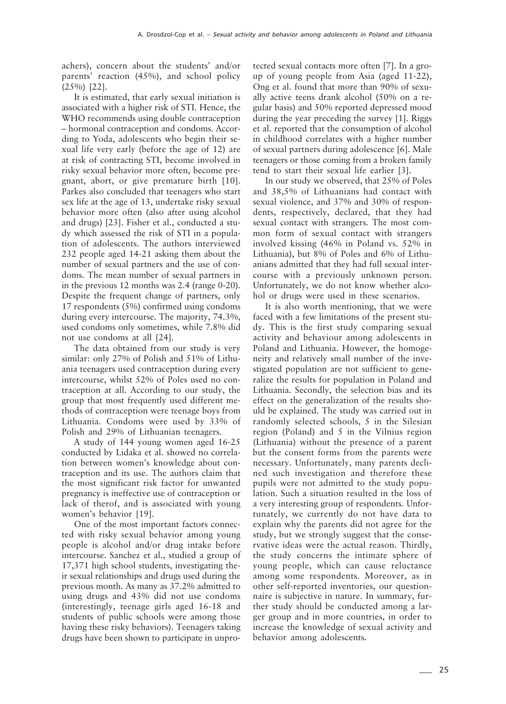achers), concern about the students' and/or parents' reaction (45%), and school policy (25%) [22].

It is estimated, that early sexual initiation is associated with a higher risk of STI. Hence, the WHO recommends using double contraception – hormonal contraception and condoms. According to Yoda, adolescents who begin their sexual life very early (before the age of 12) are at risk of contracting STI, become involved in risky sexual behavior more often, become pregnant, abort, or give premature birth [10]. Parkes also concluded that teenagers who start sex life at the age of 13, undertake risky sexual behavior more often (also after using alcohol and drugs) [23]. Fisher et al., conducted a study which assessed the risk of STI in a population of adolescents. The authors interviewed 232 people aged 14-21 asking them about the number of sexual partners and the use of condoms. The mean number of sexual partners in in the previous 12 months was 2.4 (range 0-20). Despite the frequent change of partners, only 17 respondents (5%) confirmed using condoms during every intercourse. The majority, 74.3%, used condoms only sometimes, while 7.8% did not use condoms at all [24].

The data obtained from our study is very similar: only 27% of Polish and 51% of Lithuania teenagers used contraception during every intercourse, whilst 52% of Poles used no contraception at all. According to our study, the group that most frequently used different methods of contraception were teenage boys from Lithuania. Condoms were used by 33% of Polish and 29% of Lithuanian teenagers.

A study of 144 young women aged 16-25 conducted by Lidaka et al. showed no correlation between women's knowledge about contraception and its use. The authors claim that the most significant risk factor for unwanted pregnancy is ineffective use of contraception or lack of therof, and is associated with young women's behavior [19].

One of the most important factors connected with risky sexual behavior among young people is alcohol and/or drug intake before intercourse. Sanchez et al., studied a group of 17,371 high school students, investigating their sexual relationships and drugs used during the previous month. As many as 37.2% admitted to using drugs and 43% did not use condoms (interestingly, teenage girls aged 16-18 and students of public schools were among those having these risky behaviors). Teenagers taking drugs have been shown to participate in unprotected sexual contacts more often [7]. In a group of young people from Asia (aged 11-22), Ong et al. found that more than 90% of sexually active teens drank alcohol (50% on a regular basis) and 50% reported depressed mood during the year preceding the survey [1]. Riggs et al. reported that the consumption of alcohol in childhood correlates with a higher number of sexual partners during adolescence [6]. Male teenagers or those coming from a broken family tend to start their sexual life earlier [3].

In our study we observed, that 25% of Poles and 38,5% of Lithuanians had contact with sexual violence, and 37% and 30% of respondents, respectively, declared, that they had sexual contact with strangers. The most common form of sexual contact with strangers involved kissing (46% in Poland vs. 52% in Lithuania), but 8% of Poles and 6% of Lithuanians admitted that they had full sexual intercourse with a previously unknown person. Unfortunately, we do not know whether alcohol or drugs were used in these scenarios.

It is also worth mentioning, that we were faced with a few limitations of the present study. This is the first study comparing sexual activity and behaviour among adolescents in Poland and Lithuania. However, the homogeneity and relatively small number of the investigated population are not sufficient to generalize the results for population in Poland and Lithuania. Secondly, the selection bias and its effect on the generalization of the results should be explained. The study was carried out in randomly selected schools, 5 in the Silesian region (Poland) and 5 in the Vilnius region (Lithuania) without the presence of a parent but the consent forms from the parents were necessary. Unfortunately, many parents declined such investigation and therefore these pupils were not admitted to the study population. Such a situation resulted in the loss of a very interesting group of respondents. Unfortunately, we currently do not have data to explain why the parents did not agree for the study, but we strongly suggest that the conservative ideas were the actual reason. Thirdly, the study concerns the intimate sphere of young people, which can cause reluctance among some respondents. Moreover, as in other self-reported inventories, our questionnaire is subjective in nature. In summary, further study should be conducted among a larger group and in more countries, in order to increase the knowledge of sexual activity and behavior among adolescents*.*